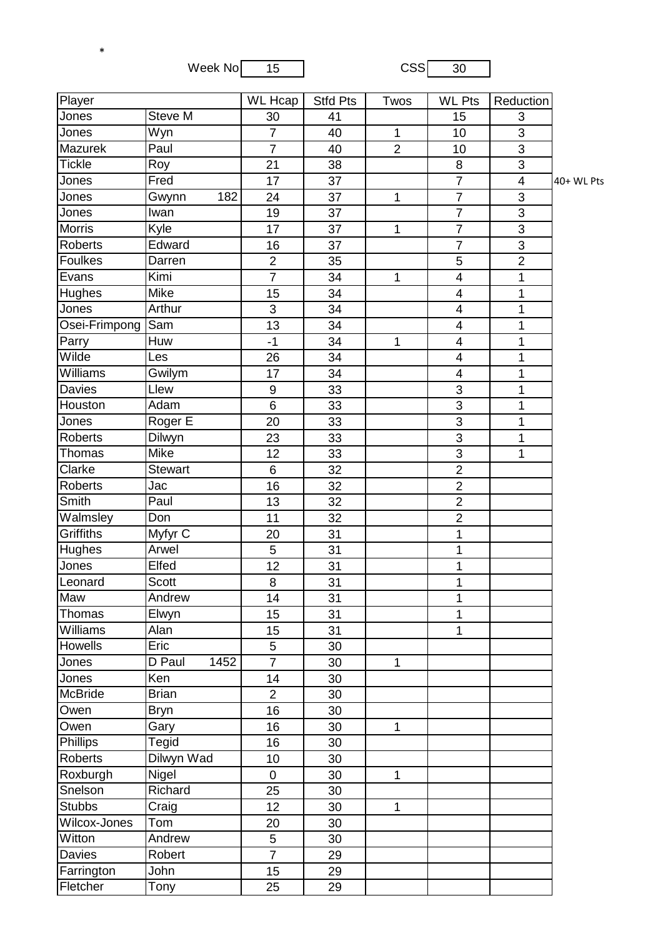Week No  $\begin{array}{|c|c|c|c|}\n\hline\n15 & 0.000000 & 30\n\end{array}$ 

\*

| Steve M<br>Jones<br>30<br>15<br>41<br>3<br>3<br>Jones<br>Wyn<br>$\overline{7}$<br>40<br>1<br>10<br>Mazurek<br>Paul<br>$\overline{7}$<br>$\overline{2}$<br>3<br>40<br>10<br><b>Tickle</b><br>3<br>21<br>8<br>Roy<br>38<br>Jones<br>Fred<br>$\overline{7}$<br>17<br>37<br>$\overline{4}$<br>$\overline{7}$<br>$\mathfrak{B}$<br>Jones<br>Gwynn<br>182<br>24<br>37<br>1<br>$\overline{7}$<br>3<br>Jones<br>Iwan<br>37<br>19<br>$\overline{7}$<br><b>Morris</b><br>3<br>Kyle<br>17<br>37<br>1<br>$\overline{7}$<br>3<br><b>Roberts</b><br>Edward<br>16<br>37<br>5<br>Foulkes<br>$\overline{2}$<br>Darren<br>$\overline{2}$<br>35<br>$\overline{7}$<br>Kimi<br>$\overline{\mathbf{4}}$<br>Evans<br>34<br>1<br>1<br>Hughes<br>Mike<br>34<br>15<br>$\overline{4}$<br>1<br>Arthur<br>3<br>34<br>$\overline{4}$<br>Jones<br>1<br>$\overline{\mathbf{4}}$<br>Sam<br>13<br>Osei-Frimpong<br>34<br>1<br>Parry<br>Huw<br>$-1$<br>34<br>$\overline{\mathbf{4}}$<br>1<br>$\mathbf 1$<br>Wilde<br>26<br>$\overline{\mathbf{4}}$<br>Les<br>34<br>1<br>Williams<br>Gwilym<br>17<br>34<br>1<br>4<br><b>Davies</b><br>3<br>Llew<br>9<br>33<br>$\mathbf{1}$<br>$\overline{3}$<br>6<br>Houston<br>Adam<br>1<br>33<br>Roger E<br>3<br>20<br>Jones<br>33<br>1<br>$\overline{3}$<br><b>Roberts</b><br>Dilwyn<br>23<br>1<br>33<br>3<br>Mike<br>Thomas<br>33<br>12<br>1<br>$\overline{2}$<br>Clarke<br>6<br><b>Stewart</b><br>32<br>$\overline{2}$<br><b>Roberts</b><br>16<br>Jac<br>32<br>$\overline{2}$<br>Smith<br>Paul<br>13<br>32<br>Walmsley<br>$\overline{c}$<br>Don<br>11<br>32<br><b>Griffiths</b><br>Myfyr C<br>31<br>20<br>1<br>Arwel<br>5<br>$\overline{1}$<br>Hughes<br>31<br>Elfed<br>12<br>1<br>Jones<br>31<br>1<br>Leonard<br>Scott<br>8<br>31<br>Maw<br>Andrew<br>14<br>31<br>1<br>Thomas<br>Elwyn<br>31<br>15<br>1<br>Williams<br>15<br>31<br>Alan<br>1<br>Howells<br>Eric<br>5<br>30<br>$\overline{7}$<br>Jones<br>D Paul<br>1452<br>30<br>$\mathbf{1}$<br>Ken<br>Jones<br>14<br>30<br>McBride<br><b>Brian</b><br>$\overline{2}$<br>30<br>16<br>30<br>Owen<br><b>Bryn</b><br>Owen<br>16<br>30<br>Gary<br>$\mathbf 1$<br>Phillips<br>Tegid<br>16<br>30<br>Dilwyn Wad<br>Roberts<br>10<br>30<br>Roxburgh<br>Nigel<br>$\mathbf 0$<br>30<br>$\mathbf{1}$<br>Richard<br>25<br>Snelson<br>30<br><b>Stubbs</b><br>Craig<br>12<br>30<br>$\mathbf 1$<br>Wilcox-Jones<br>Tom<br>20<br>30<br>Witton<br>Andrew<br>5<br>30<br>$\overline{7}$<br>Davies<br>Robert<br>29<br>John<br>Farrington<br>15<br>29<br>Fletcher<br>25<br>Tony<br>29 | Player | <b>WL Hcap</b> | <b>Stfd Pts</b> | Twos | <b>WL Pts</b> | Reduction |            |
|---------------------------------------------------------------------------------------------------------------------------------------------------------------------------------------------------------------------------------------------------------------------------------------------------------------------------------------------------------------------------------------------------------------------------------------------------------------------------------------------------------------------------------------------------------------------------------------------------------------------------------------------------------------------------------------------------------------------------------------------------------------------------------------------------------------------------------------------------------------------------------------------------------------------------------------------------------------------------------------------------------------------------------------------------------------------------------------------------------------------------------------------------------------------------------------------------------------------------------------------------------------------------------------------------------------------------------------------------------------------------------------------------------------------------------------------------------------------------------------------------------------------------------------------------------------------------------------------------------------------------------------------------------------------------------------------------------------------------------------------------------------------------------------------------------------------------------------------------------------------------------------------------------------------------------------------------------------------------------------------------------------------------------------------------------------------------------------------------------------------------------------------------------------------------------------------------------------------------------------------------------------------------------------------------------------------------------------------------------------------------------------------------------------------------------------------------------------------------------------------------------------------|--------|----------------|-----------------|------|---------------|-----------|------------|
|                                                                                                                                                                                                                                                                                                                                                                                                                                                                                                                                                                                                                                                                                                                                                                                                                                                                                                                                                                                                                                                                                                                                                                                                                                                                                                                                                                                                                                                                                                                                                                                                                                                                                                                                                                                                                                                                                                                                                                                                                                                                                                                                                                                                                                                                                                                                                                                                                                                                                                                     |        |                |                 |      |               |           |            |
|                                                                                                                                                                                                                                                                                                                                                                                                                                                                                                                                                                                                                                                                                                                                                                                                                                                                                                                                                                                                                                                                                                                                                                                                                                                                                                                                                                                                                                                                                                                                                                                                                                                                                                                                                                                                                                                                                                                                                                                                                                                                                                                                                                                                                                                                                                                                                                                                                                                                                                                     |        |                |                 |      |               |           |            |
|                                                                                                                                                                                                                                                                                                                                                                                                                                                                                                                                                                                                                                                                                                                                                                                                                                                                                                                                                                                                                                                                                                                                                                                                                                                                                                                                                                                                                                                                                                                                                                                                                                                                                                                                                                                                                                                                                                                                                                                                                                                                                                                                                                                                                                                                                                                                                                                                                                                                                                                     |        |                |                 |      |               |           |            |
|                                                                                                                                                                                                                                                                                                                                                                                                                                                                                                                                                                                                                                                                                                                                                                                                                                                                                                                                                                                                                                                                                                                                                                                                                                                                                                                                                                                                                                                                                                                                                                                                                                                                                                                                                                                                                                                                                                                                                                                                                                                                                                                                                                                                                                                                                                                                                                                                                                                                                                                     |        |                |                 |      |               |           |            |
|                                                                                                                                                                                                                                                                                                                                                                                                                                                                                                                                                                                                                                                                                                                                                                                                                                                                                                                                                                                                                                                                                                                                                                                                                                                                                                                                                                                                                                                                                                                                                                                                                                                                                                                                                                                                                                                                                                                                                                                                                                                                                                                                                                                                                                                                                                                                                                                                                                                                                                                     |        |                |                 |      |               |           | 40+ WL Pts |
|                                                                                                                                                                                                                                                                                                                                                                                                                                                                                                                                                                                                                                                                                                                                                                                                                                                                                                                                                                                                                                                                                                                                                                                                                                                                                                                                                                                                                                                                                                                                                                                                                                                                                                                                                                                                                                                                                                                                                                                                                                                                                                                                                                                                                                                                                                                                                                                                                                                                                                                     |        |                |                 |      |               |           |            |
|                                                                                                                                                                                                                                                                                                                                                                                                                                                                                                                                                                                                                                                                                                                                                                                                                                                                                                                                                                                                                                                                                                                                                                                                                                                                                                                                                                                                                                                                                                                                                                                                                                                                                                                                                                                                                                                                                                                                                                                                                                                                                                                                                                                                                                                                                                                                                                                                                                                                                                                     |        |                |                 |      |               |           |            |
|                                                                                                                                                                                                                                                                                                                                                                                                                                                                                                                                                                                                                                                                                                                                                                                                                                                                                                                                                                                                                                                                                                                                                                                                                                                                                                                                                                                                                                                                                                                                                                                                                                                                                                                                                                                                                                                                                                                                                                                                                                                                                                                                                                                                                                                                                                                                                                                                                                                                                                                     |        |                |                 |      |               |           |            |
|                                                                                                                                                                                                                                                                                                                                                                                                                                                                                                                                                                                                                                                                                                                                                                                                                                                                                                                                                                                                                                                                                                                                                                                                                                                                                                                                                                                                                                                                                                                                                                                                                                                                                                                                                                                                                                                                                                                                                                                                                                                                                                                                                                                                                                                                                                                                                                                                                                                                                                                     |        |                |                 |      |               |           |            |
|                                                                                                                                                                                                                                                                                                                                                                                                                                                                                                                                                                                                                                                                                                                                                                                                                                                                                                                                                                                                                                                                                                                                                                                                                                                                                                                                                                                                                                                                                                                                                                                                                                                                                                                                                                                                                                                                                                                                                                                                                                                                                                                                                                                                                                                                                                                                                                                                                                                                                                                     |        |                |                 |      |               |           |            |
|                                                                                                                                                                                                                                                                                                                                                                                                                                                                                                                                                                                                                                                                                                                                                                                                                                                                                                                                                                                                                                                                                                                                                                                                                                                                                                                                                                                                                                                                                                                                                                                                                                                                                                                                                                                                                                                                                                                                                                                                                                                                                                                                                                                                                                                                                                                                                                                                                                                                                                                     |        |                |                 |      |               |           |            |
|                                                                                                                                                                                                                                                                                                                                                                                                                                                                                                                                                                                                                                                                                                                                                                                                                                                                                                                                                                                                                                                                                                                                                                                                                                                                                                                                                                                                                                                                                                                                                                                                                                                                                                                                                                                                                                                                                                                                                                                                                                                                                                                                                                                                                                                                                                                                                                                                                                                                                                                     |        |                |                 |      |               |           |            |
|                                                                                                                                                                                                                                                                                                                                                                                                                                                                                                                                                                                                                                                                                                                                                                                                                                                                                                                                                                                                                                                                                                                                                                                                                                                                                                                                                                                                                                                                                                                                                                                                                                                                                                                                                                                                                                                                                                                                                                                                                                                                                                                                                                                                                                                                                                                                                                                                                                                                                                                     |        |                |                 |      |               |           |            |
|                                                                                                                                                                                                                                                                                                                                                                                                                                                                                                                                                                                                                                                                                                                                                                                                                                                                                                                                                                                                                                                                                                                                                                                                                                                                                                                                                                                                                                                                                                                                                                                                                                                                                                                                                                                                                                                                                                                                                                                                                                                                                                                                                                                                                                                                                                                                                                                                                                                                                                                     |        |                |                 |      |               |           |            |
|                                                                                                                                                                                                                                                                                                                                                                                                                                                                                                                                                                                                                                                                                                                                                                                                                                                                                                                                                                                                                                                                                                                                                                                                                                                                                                                                                                                                                                                                                                                                                                                                                                                                                                                                                                                                                                                                                                                                                                                                                                                                                                                                                                                                                                                                                                                                                                                                                                                                                                                     |        |                |                 |      |               |           |            |
|                                                                                                                                                                                                                                                                                                                                                                                                                                                                                                                                                                                                                                                                                                                                                                                                                                                                                                                                                                                                                                                                                                                                                                                                                                                                                                                                                                                                                                                                                                                                                                                                                                                                                                                                                                                                                                                                                                                                                                                                                                                                                                                                                                                                                                                                                                                                                                                                                                                                                                                     |        |                |                 |      |               |           |            |
|                                                                                                                                                                                                                                                                                                                                                                                                                                                                                                                                                                                                                                                                                                                                                                                                                                                                                                                                                                                                                                                                                                                                                                                                                                                                                                                                                                                                                                                                                                                                                                                                                                                                                                                                                                                                                                                                                                                                                                                                                                                                                                                                                                                                                                                                                                                                                                                                                                                                                                                     |        |                |                 |      |               |           |            |
|                                                                                                                                                                                                                                                                                                                                                                                                                                                                                                                                                                                                                                                                                                                                                                                                                                                                                                                                                                                                                                                                                                                                                                                                                                                                                                                                                                                                                                                                                                                                                                                                                                                                                                                                                                                                                                                                                                                                                                                                                                                                                                                                                                                                                                                                                                                                                                                                                                                                                                                     |        |                |                 |      |               |           |            |
|                                                                                                                                                                                                                                                                                                                                                                                                                                                                                                                                                                                                                                                                                                                                                                                                                                                                                                                                                                                                                                                                                                                                                                                                                                                                                                                                                                                                                                                                                                                                                                                                                                                                                                                                                                                                                                                                                                                                                                                                                                                                                                                                                                                                                                                                                                                                                                                                                                                                                                                     |        |                |                 |      |               |           |            |
|                                                                                                                                                                                                                                                                                                                                                                                                                                                                                                                                                                                                                                                                                                                                                                                                                                                                                                                                                                                                                                                                                                                                                                                                                                                                                                                                                                                                                                                                                                                                                                                                                                                                                                                                                                                                                                                                                                                                                                                                                                                                                                                                                                                                                                                                                                                                                                                                                                                                                                                     |        |                |                 |      |               |           |            |
|                                                                                                                                                                                                                                                                                                                                                                                                                                                                                                                                                                                                                                                                                                                                                                                                                                                                                                                                                                                                                                                                                                                                                                                                                                                                                                                                                                                                                                                                                                                                                                                                                                                                                                                                                                                                                                                                                                                                                                                                                                                                                                                                                                                                                                                                                                                                                                                                                                                                                                                     |        |                |                 |      |               |           |            |
|                                                                                                                                                                                                                                                                                                                                                                                                                                                                                                                                                                                                                                                                                                                                                                                                                                                                                                                                                                                                                                                                                                                                                                                                                                                                                                                                                                                                                                                                                                                                                                                                                                                                                                                                                                                                                                                                                                                                                                                                                                                                                                                                                                                                                                                                                                                                                                                                                                                                                                                     |        |                |                 |      |               |           |            |
|                                                                                                                                                                                                                                                                                                                                                                                                                                                                                                                                                                                                                                                                                                                                                                                                                                                                                                                                                                                                                                                                                                                                                                                                                                                                                                                                                                                                                                                                                                                                                                                                                                                                                                                                                                                                                                                                                                                                                                                                                                                                                                                                                                                                                                                                                                                                                                                                                                                                                                                     |        |                |                 |      |               |           |            |
|                                                                                                                                                                                                                                                                                                                                                                                                                                                                                                                                                                                                                                                                                                                                                                                                                                                                                                                                                                                                                                                                                                                                                                                                                                                                                                                                                                                                                                                                                                                                                                                                                                                                                                                                                                                                                                                                                                                                                                                                                                                                                                                                                                                                                                                                                                                                                                                                                                                                                                                     |        |                |                 |      |               |           |            |
|                                                                                                                                                                                                                                                                                                                                                                                                                                                                                                                                                                                                                                                                                                                                                                                                                                                                                                                                                                                                                                                                                                                                                                                                                                                                                                                                                                                                                                                                                                                                                                                                                                                                                                                                                                                                                                                                                                                                                                                                                                                                                                                                                                                                                                                                                                                                                                                                                                                                                                                     |        |                |                 |      |               |           |            |
|                                                                                                                                                                                                                                                                                                                                                                                                                                                                                                                                                                                                                                                                                                                                                                                                                                                                                                                                                                                                                                                                                                                                                                                                                                                                                                                                                                                                                                                                                                                                                                                                                                                                                                                                                                                                                                                                                                                                                                                                                                                                                                                                                                                                                                                                                                                                                                                                                                                                                                                     |        |                |                 |      |               |           |            |
|                                                                                                                                                                                                                                                                                                                                                                                                                                                                                                                                                                                                                                                                                                                                                                                                                                                                                                                                                                                                                                                                                                                                                                                                                                                                                                                                                                                                                                                                                                                                                                                                                                                                                                                                                                                                                                                                                                                                                                                                                                                                                                                                                                                                                                                                                                                                                                                                                                                                                                                     |        |                |                 |      |               |           |            |
|                                                                                                                                                                                                                                                                                                                                                                                                                                                                                                                                                                                                                                                                                                                                                                                                                                                                                                                                                                                                                                                                                                                                                                                                                                                                                                                                                                                                                                                                                                                                                                                                                                                                                                                                                                                                                                                                                                                                                                                                                                                                                                                                                                                                                                                                                                                                                                                                                                                                                                                     |        |                |                 |      |               |           |            |
|                                                                                                                                                                                                                                                                                                                                                                                                                                                                                                                                                                                                                                                                                                                                                                                                                                                                                                                                                                                                                                                                                                                                                                                                                                                                                                                                                                                                                                                                                                                                                                                                                                                                                                                                                                                                                                                                                                                                                                                                                                                                                                                                                                                                                                                                                                                                                                                                                                                                                                                     |        |                |                 |      |               |           |            |
|                                                                                                                                                                                                                                                                                                                                                                                                                                                                                                                                                                                                                                                                                                                                                                                                                                                                                                                                                                                                                                                                                                                                                                                                                                                                                                                                                                                                                                                                                                                                                                                                                                                                                                                                                                                                                                                                                                                                                                                                                                                                                                                                                                                                                                                                                                                                                                                                                                                                                                                     |        |                |                 |      |               |           |            |
|                                                                                                                                                                                                                                                                                                                                                                                                                                                                                                                                                                                                                                                                                                                                                                                                                                                                                                                                                                                                                                                                                                                                                                                                                                                                                                                                                                                                                                                                                                                                                                                                                                                                                                                                                                                                                                                                                                                                                                                                                                                                                                                                                                                                                                                                                                                                                                                                                                                                                                                     |        |                |                 |      |               |           |            |
|                                                                                                                                                                                                                                                                                                                                                                                                                                                                                                                                                                                                                                                                                                                                                                                                                                                                                                                                                                                                                                                                                                                                                                                                                                                                                                                                                                                                                                                                                                                                                                                                                                                                                                                                                                                                                                                                                                                                                                                                                                                                                                                                                                                                                                                                                                                                                                                                                                                                                                                     |        |                |                 |      |               |           |            |
|                                                                                                                                                                                                                                                                                                                                                                                                                                                                                                                                                                                                                                                                                                                                                                                                                                                                                                                                                                                                                                                                                                                                                                                                                                                                                                                                                                                                                                                                                                                                                                                                                                                                                                                                                                                                                                                                                                                                                                                                                                                                                                                                                                                                                                                                                                                                                                                                                                                                                                                     |        |                |                 |      |               |           |            |
|                                                                                                                                                                                                                                                                                                                                                                                                                                                                                                                                                                                                                                                                                                                                                                                                                                                                                                                                                                                                                                                                                                                                                                                                                                                                                                                                                                                                                                                                                                                                                                                                                                                                                                                                                                                                                                                                                                                                                                                                                                                                                                                                                                                                                                                                                                                                                                                                                                                                                                                     |        |                |                 |      |               |           |            |
|                                                                                                                                                                                                                                                                                                                                                                                                                                                                                                                                                                                                                                                                                                                                                                                                                                                                                                                                                                                                                                                                                                                                                                                                                                                                                                                                                                                                                                                                                                                                                                                                                                                                                                                                                                                                                                                                                                                                                                                                                                                                                                                                                                                                                                                                                                                                                                                                                                                                                                                     |        |                |                 |      |               |           |            |
|                                                                                                                                                                                                                                                                                                                                                                                                                                                                                                                                                                                                                                                                                                                                                                                                                                                                                                                                                                                                                                                                                                                                                                                                                                                                                                                                                                                                                                                                                                                                                                                                                                                                                                                                                                                                                                                                                                                                                                                                                                                                                                                                                                                                                                                                                                                                                                                                                                                                                                                     |        |                |                 |      |               |           |            |
|                                                                                                                                                                                                                                                                                                                                                                                                                                                                                                                                                                                                                                                                                                                                                                                                                                                                                                                                                                                                                                                                                                                                                                                                                                                                                                                                                                                                                                                                                                                                                                                                                                                                                                                                                                                                                                                                                                                                                                                                                                                                                                                                                                                                                                                                                                                                                                                                                                                                                                                     |        |                |                 |      |               |           |            |
|                                                                                                                                                                                                                                                                                                                                                                                                                                                                                                                                                                                                                                                                                                                                                                                                                                                                                                                                                                                                                                                                                                                                                                                                                                                                                                                                                                                                                                                                                                                                                                                                                                                                                                                                                                                                                                                                                                                                                                                                                                                                                                                                                                                                                                                                                                                                                                                                                                                                                                                     |        |                |                 |      |               |           |            |
|                                                                                                                                                                                                                                                                                                                                                                                                                                                                                                                                                                                                                                                                                                                                                                                                                                                                                                                                                                                                                                                                                                                                                                                                                                                                                                                                                                                                                                                                                                                                                                                                                                                                                                                                                                                                                                                                                                                                                                                                                                                                                                                                                                                                                                                                                                                                                                                                                                                                                                                     |        |                |                 |      |               |           |            |
|                                                                                                                                                                                                                                                                                                                                                                                                                                                                                                                                                                                                                                                                                                                                                                                                                                                                                                                                                                                                                                                                                                                                                                                                                                                                                                                                                                                                                                                                                                                                                                                                                                                                                                                                                                                                                                                                                                                                                                                                                                                                                                                                                                                                                                                                                                                                                                                                                                                                                                                     |        |                |                 |      |               |           |            |
|                                                                                                                                                                                                                                                                                                                                                                                                                                                                                                                                                                                                                                                                                                                                                                                                                                                                                                                                                                                                                                                                                                                                                                                                                                                                                                                                                                                                                                                                                                                                                                                                                                                                                                                                                                                                                                                                                                                                                                                                                                                                                                                                                                                                                                                                                                                                                                                                                                                                                                                     |        |                |                 |      |               |           |            |
|                                                                                                                                                                                                                                                                                                                                                                                                                                                                                                                                                                                                                                                                                                                                                                                                                                                                                                                                                                                                                                                                                                                                                                                                                                                                                                                                                                                                                                                                                                                                                                                                                                                                                                                                                                                                                                                                                                                                                                                                                                                                                                                                                                                                                                                                                                                                                                                                                                                                                                                     |        |                |                 |      |               |           |            |
|                                                                                                                                                                                                                                                                                                                                                                                                                                                                                                                                                                                                                                                                                                                                                                                                                                                                                                                                                                                                                                                                                                                                                                                                                                                                                                                                                                                                                                                                                                                                                                                                                                                                                                                                                                                                                                                                                                                                                                                                                                                                                                                                                                                                                                                                                                                                                                                                                                                                                                                     |        |                |                 |      |               |           |            |
|                                                                                                                                                                                                                                                                                                                                                                                                                                                                                                                                                                                                                                                                                                                                                                                                                                                                                                                                                                                                                                                                                                                                                                                                                                                                                                                                                                                                                                                                                                                                                                                                                                                                                                                                                                                                                                                                                                                                                                                                                                                                                                                                                                                                                                                                                                                                                                                                                                                                                                                     |        |                |                 |      |               |           |            |
|                                                                                                                                                                                                                                                                                                                                                                                                                                                                                                                                                                                                                                                                                                                                                                                                                                                                                                                                                                                                                                                                                                                                                                                                                                                                                                                                                                                                                                                                                                                                                                                                                                                                                                                                                                                                                                                                                                                                                                                                                                                                                                                                                                                                                                                                                                                                                                                                                                                                                                                     |        |                |                 |      |               |           |            |
|                                                                                                                                                                                                                                                                                                                                                                                                                                                                                                                                                                                                                                                                                                                                                                                                                                                                                                                                                                                                                                                                                                                                                                                                                                                                                                                                                                                                                                                                                                                                                                                                                                                                                                                                                                                                                                                                                                                                                                                                                                                                                                                                                                                                                                                                                                                                                                                                                                                                                                                     |        |                |                 |      |               |           |            |
|                                                                                                                                                                                                                                                                                                                                                                                                                                                                                                                                                                                                                                                                                                                                                                                                                                                                                                                                                                                                                                                                                                                                                                                                                                                                                                                                                                                                                                                                                                                                                                                                                                                                                                                                                                                                                                                                                                                                                                                                                                                                                                                                                                                                                                                                                                                                                                                                                                                                                                                     |        |                |                 |      |               |           |            |
|                                                                                                                                                                                                                                                                                                                                                                                                                                                                                                                                                                                                                                                                                                                                                                                                                                                                                                                                                                                                                                                                                                                                                                                                                                                                                                                                                                                                                                                                                                                                                                                                                                                                                                                                                                                                                                                                                                                                                                                                                                                                                                                                                                                                                                                                                                                                                                                                                                                                                                                     |        |                |                 |      |               |           |            |
|                                                                                                                                                                                                                                                                                                                                                                                                                                                                                                                                                                                                                                                                                                                                                                                                                                                                                                                                                                                                                                                                                                                                                                                                                                                                                                                                                                                                                                                                                                                                                                                                                                                                                                                                                                                                                                                                                                                                                                                                                                                                                                                                                                                                                                                                                                                                                                                                                                                                                                                     |        |                |                 |      |               |           |            |